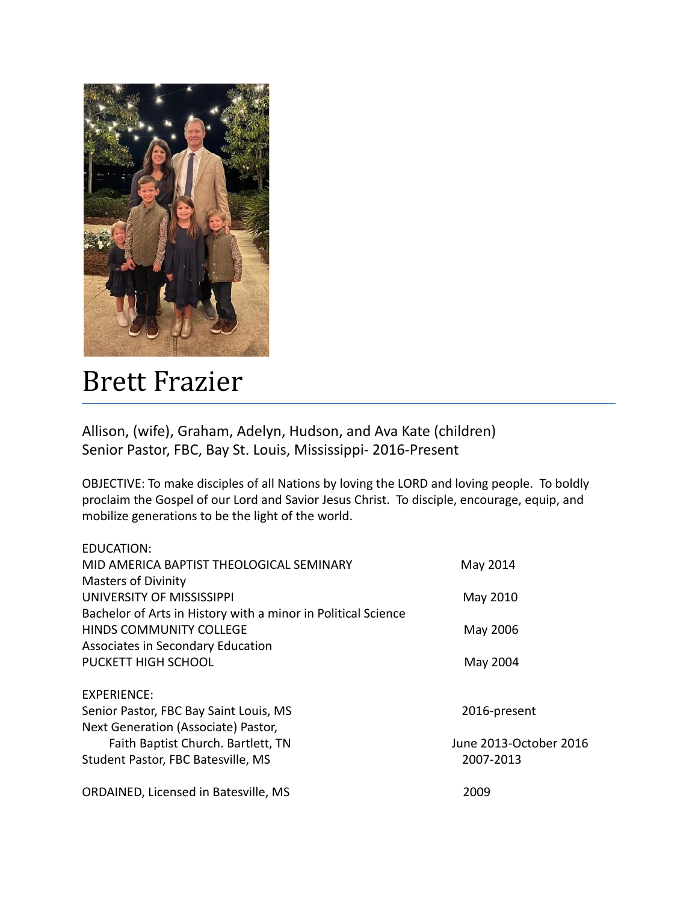

## Brett Frazier

Allison, (wife), Graham, Adelyn, Hudson, and Ava Kate (children) Senior Pastor, FBC, Bay St. Louis, Mississippi- 2016-Present

OBJECTIVE: To make disciples of all Nations by loving the LORD and loving people. To boldly proclaim the Gospel of our Lord and Savior Jesus Christ. To disciple, encourage, equip, and mobilize generations to be the light of the world.

| <b>EDUCATION:</b>                                             |                        |
|---------------------------------------------------------------|------------------------|
| MID AMERICA BAPTIST THEOLOGICAL SEMINARY                      | May 2014               |
| <b>Masters of Divinity</b>                                    |                        |
| UNIVERSITY OF MISSISSIPPI                                     | May 2010               |
| Bachelor of Arts in History with a minor in Political Science |                        |
| <b>HINDS COMMUNITY COLLEGE</b>                                | May 2006               |
| Associates in Secondary Education                             |                        |
| PUCKETT HIGH SCHOOL                                           | May 2004               |
| EXPERIENCE:                                                   |                        |
| Senior Pastor, FBC Bay Saint Louis, MS                        | 2016-present           |
| Next Generation (Associate) Pastor,                           |                        |
| Faith Baptist Church. Bartlett, TN                            | June 2013-October 2016 |
| Student Pastor, FBC Batesville, MS                            | 2007-2013              |
| ORDAINED, Licensed in Batesville, MS                          | 2009                   |